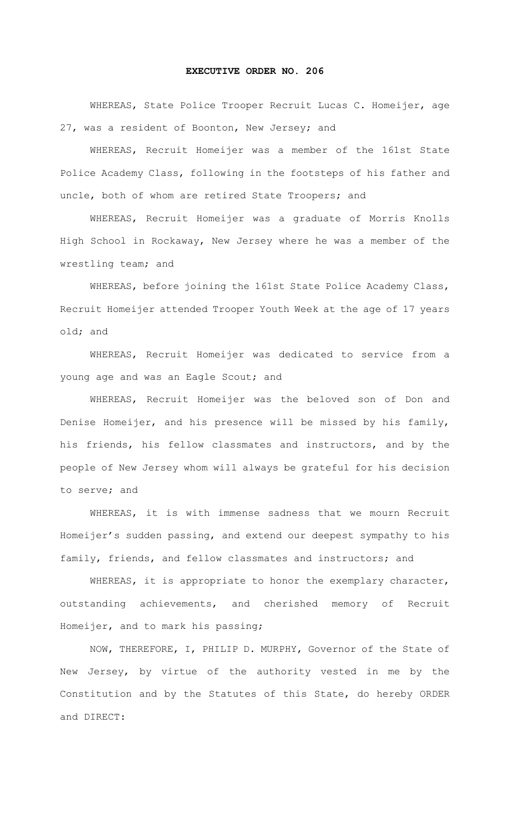## **EXECUTIVE ORDER NO. 206**

WHEREAS, State Police Trooper Recruit Lucas C. Homeijer, age 27, was a resident of Boonton, New Jersey; and

WHEREAS, Recruit Homeijer was a member of the 161st State Police Academy Class, following in the footsteps of his father and uncle, both of whom are retired State Troopers; and

WHEREAS, Recruit Homeijer was a graduate of Morris Knolls High School in Rockaway, New Jersey where he was a member of the wrestling team; and

WHEREAS, before joining the 161st State Police Academy Class, Recruit Homeijer attended Trooper Youth Week at the age of 17 years old; and

WHEREAS, Recruit Homeijer was dedicated to service from a young age and was an Eagle Scout; and

WHEREAS, Recruit Homeijer was the beloved son of Don and Denise Homeijer, and his presence will be missed by his family, his friends, his fellow classmates and instructors, and by the people of New Jersey whom will always be grateful for his decision to serve; and

WHEREAS, it is with immense sadness that we mourn Recruit Homeijer's sudden passing, and extend our deepest sympathy to his family, friends, and fellow classmates and instructors; and

 WHEREAS, it is appropriate to honor the exemplary character, outstanding achievements, and cherished memory of Recruit Homeijer, and to mark his passing;

 NOW, THEREFORE, I, PHILIP D. MURPHY, Governor of the State of New Jersey, by virtue of the authority vested in me by the Constitution and by the Statutes of this State, do hereby ORDER and DIRECT: